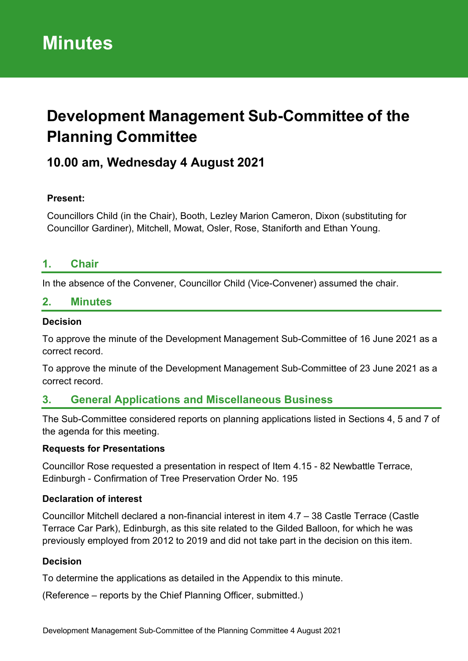# **Development Management Sub-Committee of the Planning Committee**

# **10.00 am, Wednesday 4 August 2021**

#### **Present:**

Councillors Child (in the Chair), Booth, Lezley Marion Cameron, Dixon (substituting for Councillor Gardiner), Mitchell, Mowat, Osler, Rose, Staniforth and Ethan Young.

## **1. Chair**

In the absence of the Convener, Councillor Child (Vice-Convener) assumed the chair.

#### **2. Minutes**

#### **Decision**

To approve the minute of the Development Management Sub-Committee of 16 June 2021 as a correct record.

To approve the minute of the Development Management Sub-Committee of 23 June 2021 as a correct record.

## **3. General Applications and Miscellaneous Business**

The Sub-Committee considered reports on planning applications listed in Sections 4, 5 and 7 of the agenda for this meeting.

#### **Requests for Presentations**

Councillor Rose requested a presentation in respect of Item 4.15 - 82 Newbattle Terrace, Edinburgh - Confirmation of Tree Preservation Order No. 195

#### **Declaration of interest**

Councillor Mitchell declared a non-financial interest in item 4.7 – 38 Castle Terrace (Castle Terrace Car Park), Edinburgh, as this site related to the Gilded Balloon, for which he was previously employed from 2012 to 2019 and did not take part in the decision on this item.

#### **Decision**

To determine the applications as detailed in the Appendix to this minute.

(Reference – reports by the Chief Planning Officer, submitted.)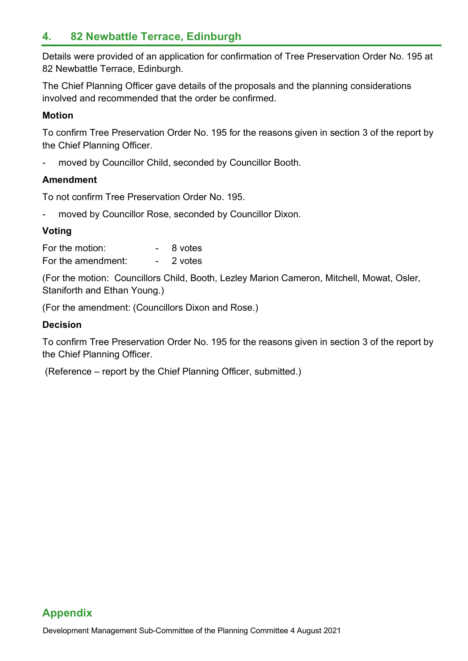# **4. 82 Newbattle Terrace, Edinburgh**

Details were provided of an application for confirmation of Tree Preservation Order No. 195 at 82 Newbattle Terrace, Edinburgh.

The Chief Planning Officer gave details of the proposals and the planning considerations involved and recommended that the order be confirmed.

#### **Motion**

To confirm Tree Preservation Order No. 195 for the reasons given in section 3 of the report by the Chief Planning Officer.

moved by Councillor Child, seconded by Councillor Booth.

#### **Amendment**

To not confirm Tree Preservation Order No. 195.

moved by Councillor Rose, seconded by Councillor Dixon.

#### **Voting**

| For the motion:    | 8 votes |
|--------------------|---------|
| For the amendment: | 2 votes |

(For the motion: Councillors Child, Booth, Lezley Marion Cameron, Mitchell, Mowat, Osler, Staniforth and Ethan Young.)

(For the amendment: (Councillors Dixon and Rose.)

#### **Decision**

To confirm Tree Preservation Order No. 195 for the reasons given in section 3 of the report by the Chief Planning Officer.

(Reference – report by the Chief Planning Officer, submitted.)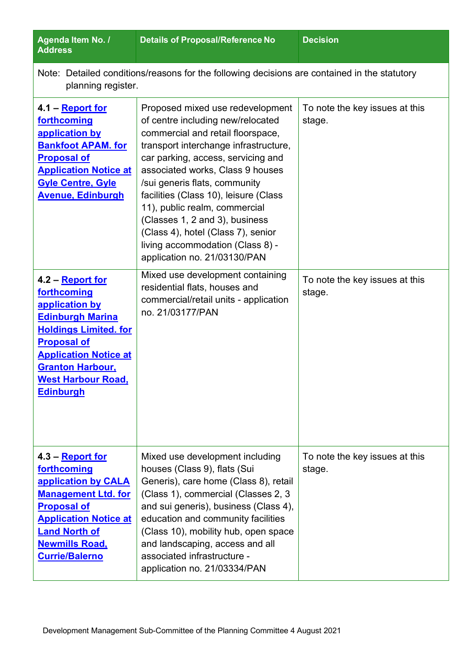| Agenda Item No. /<br><b>Address</b>                                                                                                                                                                                                            | <b>Details of Proposal/Reference No</b>                                                                                                                                                                                                                                                                                                                                                                                                                                              | <b>Decision</b>                          |  |  |  |
|------------------------------------------------------------------------------------------------------------------------------------------------------------------------------------------------------------------------------------------------|--------------------------------------------------------------------------------------------------------------------------------------------------------------------------------------------------------------------------------------------------------------------------------------------------------------------------------------------------------------------------------------------------------------------------------------------------------------------------------------|------------------------------------------|--|--|--|
| Note: Detailed conditions/reasons for the following decisions are contained in the statutory<br>planning register.                                                                                                                             |                                                                                                                                                                                                                                                                                                                                                                                                                                                                                      |                                          |  |  |  |
| 4.1 – <b>Report for</b><br>forthcoming<br>application by<br><b>Bankfoot APAM. for</b><br><b>Proposal of</b><br><b>Application Notice at</b><br><b>Gyle Centre, Gyle</b><br><b>Avenue, Edinburgh</b>                                            | Proposed mixed use redevelopment<br>of centre including new/relocated<br>commercial and retail floorspace,<br>transport interchange infrastructure,<br>car parking, access, servicing and<br>associated works, Class 9 houses<br>/sui generis flats, community<br>facilities (Class 10), leisure (Class<br>11), public realm, commercial<br>(Classes 1, 2 and 3), business<br>(Class 4), hotel (Class 7), senior<br>living accommodation (Class 8) -<br>application no. 21/03130/PAN | To note the key issues at this<br>stage. |  |  |  |
| 4.2 - Report for<br>forthcoming<br>application by<br><b>Edinburgh Marina</b><br><b>Holdings Limited. for</b><br><b>Proposal of</b><br><b>Application Notice at</b><br><b>Granton Harbour,</b><br><b>West Harbour Road,</b><br><b>Edinburgh</b> | Mixed use development containing<br>residential flats, houses and<br>commercial/retail units - application<br>no. 21/03177/PAN                                                                                                                                                                                                                                                                                                                                                       | To note the key issues at this<br>stage. |  |  |  |
| 4.3 – Report for<br>forthcoming<br>application by CALA<br><b>Management Ltd. for</b><br><b>Proposal of</b><br><b>Application Notice at</b><br><b>Land North of</b><br><b>Newmills Road,</b><br><b>Currie/Balerno</b>                           | Mixed use development including<br>houses (Class 9), flats (Sui<br>Generis), care home (Class 8), retail<br>(Class 1), commercial (Classes 2, 3)<br>and sui generis), business (Class 4),<br>education and community facilities<br>(Class 10), mobility hub, open space<br>and landscaping, access and all<br>associated infrastructure -<br>application no. 21/03334/PAN                                                                                                            | To note the key issues at this<br>stage. |  |  |  |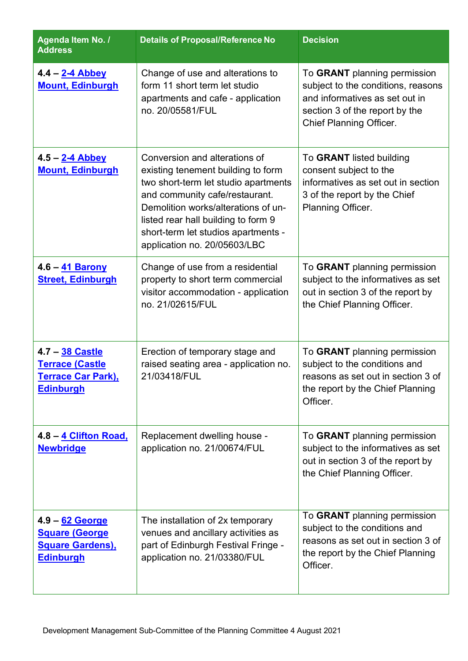| Agenda Item No. /<br><b>Address</b>                                                             | <b>Details of Proposal/Reference No</b>                                                                                                                                                                                                                                                            | <b>Decision</b>                                                                                                                                                          |
|-------------------------------------------------------------------------------------------------|----------------------------------------------------------------------------------------------------------------------------------------------------------------------------------------------------------------------------------------------------------------------------------------------------|--------------------------------------------------------------------------------------------------------------------------------------------------------------------------|
| $4.4 - 2-4$ Abbey<br><b>Mount, Edinburgh</b>                                                    | Change of use and alterations to<br>form 11 short term let studio<br>apartments and cafe - application<br>no. 20/05581/FUL                                                                                                                                                                         | To GRANT planning permission<br>subject to the conditions, reasons<br>and informatives as set out in<br>section 3 of the report by the<br><b>Chief Planning Officer.</b> |
| 4.5 - 2-4 Abbey<br><b>Mount, Edinburgh</b>                                                      | Conversion and alterations of<br>existing tenement building to form<br>two short-term let studio apartments<br>and community cafe/restaurant.<br>Demolition works/alterations of un-<br>listed rear hall building to form 9<br>short-term let studios apartments -<br>application no. 20/05603/LBC | To GRANT listed building<br>consent subject to the<br>informatives as set out in section<br>3 of the report by the Chief<br>Planning Officer.                            |
| 4.6 - 41 Barony<br><b>Street, Edinburgh</b>                                                     | Change of use from a residential<br>property to short term commercial<br>visitor accommodation - application<br>no. 21/02615/FUL                                                                                                                                                                   | To GRANT planning permission<br>subject to the informatives as set<br>out in section 3 of the report by<br>the Chief Planning Officer.                                   |
| 4.7 - 38 Castle<br><b>Terrace (Castle</b><br><b>Terrace Car Park),</b><br><b>Edinburgh</b>      | Erection of temporary stage and<br>raised seating area - application no.<br>21/03418/FUL                                                                                                                                                                                                           | To GRANT planning permission<br>subject to the conditions and<br>reasons as set out in section 3 of<br>the report by the Chief Planning<br>Officer.                      |
| 4.8 - 4 Clifton Road,<br><b>Newbridge</b>                                                       | Replacement dwelling house -<br>application no. 21/00674/FUL                                                                                                                                                                                                                                       | To GRANT planning permission<br>subject to the informatives as set<br>out in section 3 of the report by<br>the Chief Planning Officer.                                   |
| <u>4.9 – 62 George</u><br><b>Square (George)</b><br><b>Square Gardens),</b><br><b>Edinburgh</b> | The installation of 2x temporary<br>venues and ancillary activities as<br>part of Edinburgh Festival Fringe -<br>application no. 21/03380/FUL                                                                                                                                                      | To GRANT planning permission<br>subject to the conditions and<br>reasons as set out in section 3 of<br>the report by the Chief Planning<br>Officer.                      |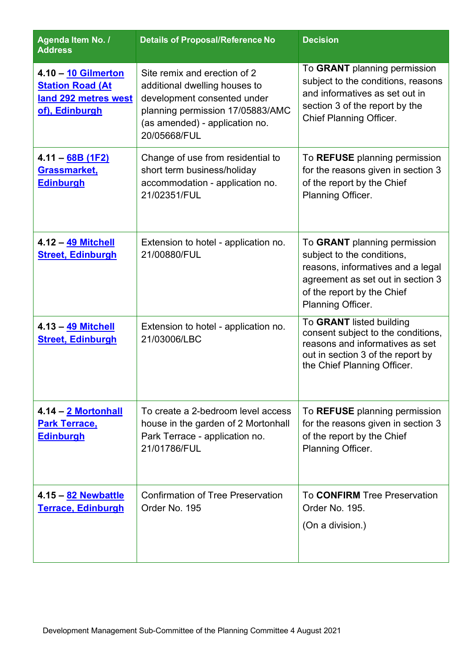| Agenda Item No. /<br><b>Address</b>                                                      | <b>Details of Proposal/Reference No</b>                                                                                                                                            | <b>Decision</b>                                                                                                                                                                         |
|------------------------------------------------------------------------------------------|------------------------------------------------------------------------------------------------------------------------------------------------------------------------------------|-----------------------------------------------------------------------------------------------------------------------------------------------------------------------------------------|
| 4.10 - 10 Gilmerton<br><b>Station Road (At</b><br>land 292 metres west<br>of), Edinburgh | Site remix and erection of 2<br>additional dwelling houses to<br>development consented under<br>planning permission 17/05883/AMC<br>(as amended) - application no.<br>20/05668/FUL | To GRANT planning permission<br>subject to the conditions, reasons<br>and informatives as set out in<br>section 3 of the report by the<br><b>Chief Planning Officer.</b>                |
| 4.11 - 68B (1F2)<br>Grassmarket,<br><b>Edinburgh</b>                                     | Change of use from residential to<br>short term business/holiday<br>accommodation - application no.<br>21/02351/FUL                                                                | To REFUSE planning permission<br>for the reasons given in section 3<br>of the report by the Chief<br>Planning Officer.                                                                  |
| 4.12 - 49 Mitchell<br><b>Street, Edinburgh</b>                                           | Extension to hotel - application no.<br>21/00880/FUL                                                                                                                               | To GRANT planning permission<br>subject to the conditions,<br>reasons, informatives and a legal<br>agreement as set out in section 3<br>of the report by the Chief<br>Planning Officer. |
| 4.13 - 49 Mitchell<br><b>Street, Edinburgh</b>                                           | Extension to hotel - application no.<br>21/03006/LBC                                                                                                                               | To GRANT listed building<br>consent subject to the conditions,<br>reasons and informatives as set<br>out in section 3 of the report by<br>the Chief Planning Officer.                   |
| <u>4.14 – 2 Mortonhall</u><br><b>Park Terrace,</b><br><b>Edinburgh</b>                   | To create a 2-bedroom level access<br>house in the garden of 2 Mortonhall<br>Park Terrace - application no.<br>21/01786/FUL                                                        | To REFUSE planning permission<br>for the reasons given in section 3<br>of the report by the Chief<br>Planning Officer.                                                                  |
| 4.15 - 82 Newbattle<br><b>Terrace, Edinburgh</b>                                         | <b>Confirmation of Tree Preservation</b><br>Order No. 195                                                                                                                          | To CONFIRM Tree Preservation<br>Order No. 195.<br>(On a division.)                                                                                                                      |